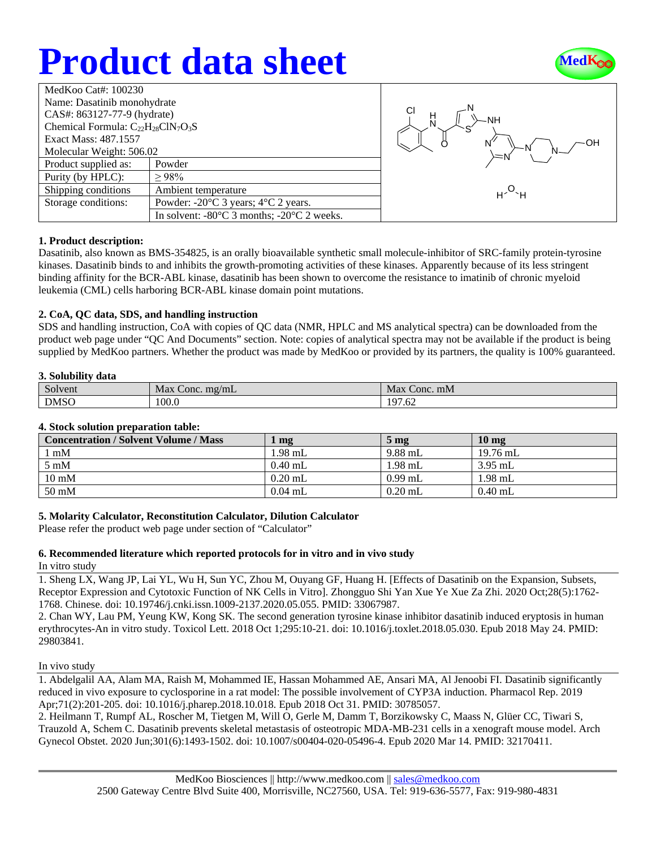# **Product data sheet**



| MedKoo Cat#: 100230                       |                                                                |  |
|-------------------------------------------|----------------------------------------------------------------|--|
| Name: Dasatinib monohydrate               |                                                                |  |
| CAS#: 863127-77-9 (hydrate)               |                                                                |  |
| Chemical Formula: $C_{22}H_{28}CIN_7O_3S$ |                                                                |  |
| Exact Mass: 487.1557                      |                                                                |  |
| Molecular Weight: 506.02                  |                                                                |  |
| Product supplied as:                      | Powder                                                         |  |
| Purity (by HPLC):                         | >98%                                                           |  |
| Shipping conditions                       | Ambient temperature                                            |  |
| Storage conditions:                       | Powder: $-20^{\circ}$ C 3 years; $4^{\circ}$ C 2 years.        |  |
|                                           | In solvent: $-80^{\circ}$ C 3 months; $-20^{\circ}$ C 2 weeks. |  |



### **1. Product description:**

Dasatinib, also known as BMS-354825, is an orally bioavailable synthetic small molecule-inhibitor of SRC-family protein-tyrosine kinases. Dasatinib binds to and inhibits the growth-promoting activities of these kinases. Apparently because of its less stringent binding affinity for the BCR-ABL kinase, dasatinib has been shown to overcome the resistance to imatinib of chronic myeloid leukemia (CML) cells harboring BCR-ABL kinase domain point mutations.

### **2. CoA, QC data, SDS, and handling instruction**

SDS and handling instruction, CoA with copies of QC data (NMR, HPLC and MS analytical spectra) can be downloaded from the product web page under "QC And Documents" section. Note: copies of analytical spectra may not be available if the product is being supplied by MedKoo partners. Whether the product was made by MedKoo or provided by its partners, the quality is 100% guaranteed.

### **3. Solubility data**

| $\sim$<br>Solvent | mg/mL<br>Max<br>Conc. | Max<br>Conc. mM      |
|-------------------|-----------------------|----------------------|
| <b>DMSO</b>       | 100.0                 | 07<br>$\sim$<br>7.02 |

### **4. Stock solution preparation table:**

| <b>Concentration / Solvent Volume / Mass</b> | mg        | $5 \,\mathrm{mg}$ | 10 <sub>mg</sub> |
|----------------------------------------------|-----------|-------------------|------------------|
| l mM                                         | $1.98$ mL | 9.88 mL           | $19.76$ mL       |
| $5 \text{ mM}$                               | $0.40$ mL | 1.98 mL           | $3.95$ mL        |
| $10 \text{ mM}$                              | $0.20$ mL | $0.99$ mL         | $1.98$ mL        |
| 50 mM                                        | $0.04$ mL | $0.20$ mL         | $0.40$ mL        |

## **5. Molarity Calculator, Reconstitution Calculator, Dilution Calculator**

Please refer the product web page under section of "Calculator"

### **6. Recommended literature which reported protocols for in vitro and in vivo study**

In vitro study

1. Sheng LX, Wang JP, Lai YL, Wu H, Sun YC, Zhou M, Ouyang GF, Huang H. [Effects of Dasatinib on the Expansion, Subsets, Receptor Expression and Cytotoxic Function of NK Cells in Vitro]. Zhongguo Shi Yan Xue Ye Xue Za Zhi. 2020 Oct;28(5):1762- 1768. Chinese. doi: 10.19746/j.cnki.issn.1009-2137.2020.05.055. PMID: 33067987.

2. Chan WY, Lau PM, Yeung KW, Kong SK. The second generation tyrosine kinase inhibitor dasatinib induced eryptosis in human erythrocytes-An in vitro study. Toxicol Lett. 2018 Oct 1;295:10-21. doi: 10.1016/j.toxlet.2018.05.030. Epub 2018 May 24. PMID: 29803841.

In vivo study

1. Abdelgalil AA, Alam MA, Raish M, Mohammed IE, Hassan Mohammed AE, Ansari MA, Al Jenoobi FI. Dasatinib significantly reduced in vivo exposure to cyclosporine in a rat model: The possible involvement of CYP3A induction. Pharmacol Rep. 2019 Apr;71(2):201-205. doi: 10.1016/j.pharep.2018.10.018. Epub 2018 Oct 31. PMID: 30785057.

2. Heilmann T, Rumpf AL, Roscher M, Tietgen M, Will O, Gerle M, Damm T, Borzikowsky C, Maass N, Glüer CC, Tiwari S, Trauzold A, Schem C. Dasatinib prevents skeletal metastasis of osteotropic MDA-MB-231 cells in a xenograft mouse model. Arch Gynecol Obstet. 2020 Jun;301(6):1493-1502. doi: 10.1007/s00404-020-05496-4. Epub 2020 Mar 14. PMID: 32170411.